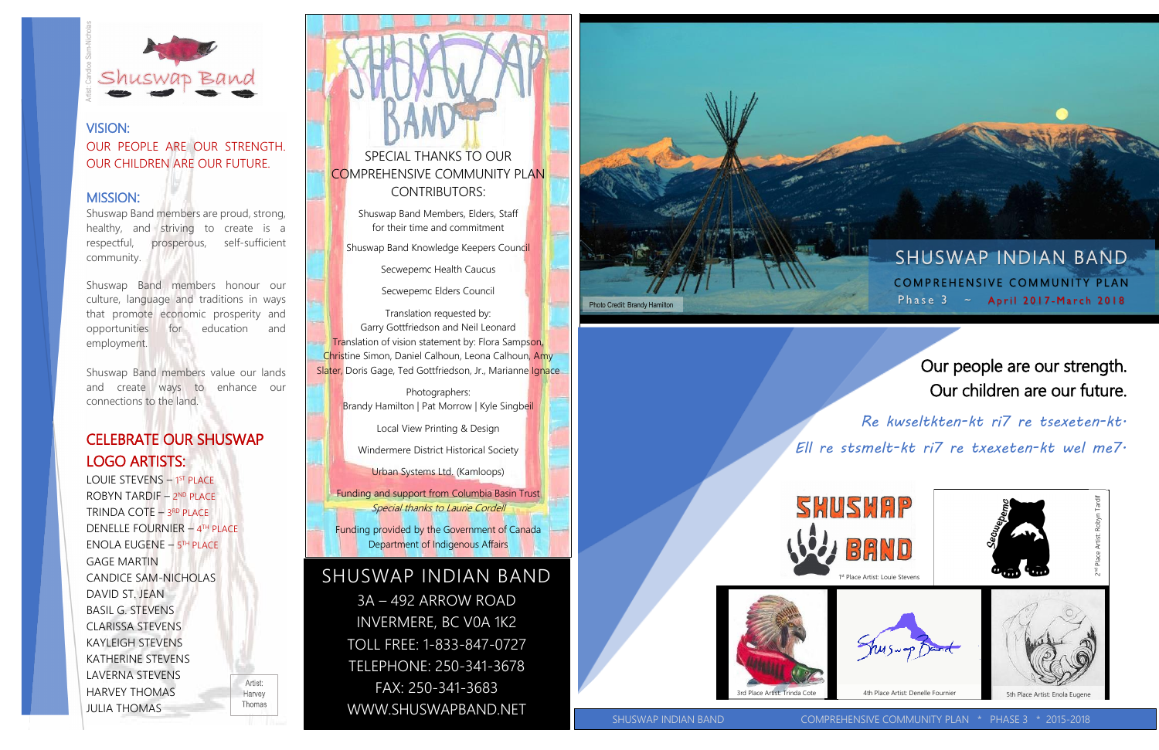# Our people are our strength. Our children are our future.

*Re kwseltkten-kt ri7 re tsexeten-kt. Ell re stsmelt-kt ri7 re txexeten-kt wel me7.*



## VISION: OUR PEOPLE ARE OUR STRENGTH. OUR CHILDREN ARE OUR FUTURE.

### MISSION:

Shuswap Band members are proud, strong, healthy, and striving to create is a respectful, prosperous, self-sufficient community.

Shuswap Band members honour our culture, language and traditions in ways that promote economic prosperity and opportunities for education and employment.

Shuswap Band members value our lands and create ways to enhance our connections to the land.

## CELEBRATE OUR SHUSWAP LOGO ARTISTS:

**SECREMAS ARTIST SAM-NICHOLAR SECREMAN SERVED CONFIDENTIAL SHUSTRATE LOGO ARTIST SHUSTRATE LOGO ARTIST SHUSTRATE LOGO ARTIST SHUSTRATE LOGO ARTIST CONFIDENT RINDA COTE DENELLE FOUR ENGLANDICE SAM-DAVID ST. JEAN BASIL G. ST** LOUIE STEVENS - 1<sup>ST</sup> PLACE ROBYN TARDIF - 2ND PLACE TRINDA COTE – 3<sup>rd</sup> place DENELLE FOURNIER – 4 TH PLACE ENOLA EUGENE – 5 TH PLACE GAGE MARTIN CANDICE SAM-NICHOLAS DAVID ST. JEAN BASIL G. STEVENS CLARISSA STEVENS KAYLEIGH STEVENS KATHERINE STEVENS LAVERNA STEVENS HARVEY THOMAS **JULIA THOMAS** 

Artist: Harvey Thomas

Photographers: Brandy Hamilton | Pat Morrow | Kyle Singbeil

SPECIAL THANKS TO OUR COMPREHENSIVE COMMUNITY PLAN CONTRIBUTORS:

> Shuswap Band Members, Elders, Staff for their time and commitment

Shuswap Band Knowledge Keepers Council

Secwepemc Health Caucus

Secwepemc Elders Council

Translation requested by: Garry Gottfriedson and Neil Leonard **Translation of vision statement by: Flora Sampson,** Christine Simon, Daniel Calhoun, Leona Calhoun, Amy Slater, Doris Gage, Ted Gottfriedson, Jr., Marianne Ignace

Local View Printing & Design

Windermere District Historical Society

Urban Systems Ltd. (Kamloops)

Funding and support from Columbia Basin Trust Special thanks to Laurie Cordell

Funding provided by the Government of Canada Department of Indigenous Affairs

## SHUSWAP INDIAN BAND

3A – 492 ARROW ROAD INVERMERE, BC V0A 1K2 TOLL FREE: 1-833-847-0727 TELEPHONE: 250-341-3678 FAX: 250-341-3683 WWW.SHUSWAPBAND.NET







**SHUSWAP INDIAN BAND** COMPREHENSIVE COMMUNITY PLAN Phase  $3 \sim$  April 2017-March 2018